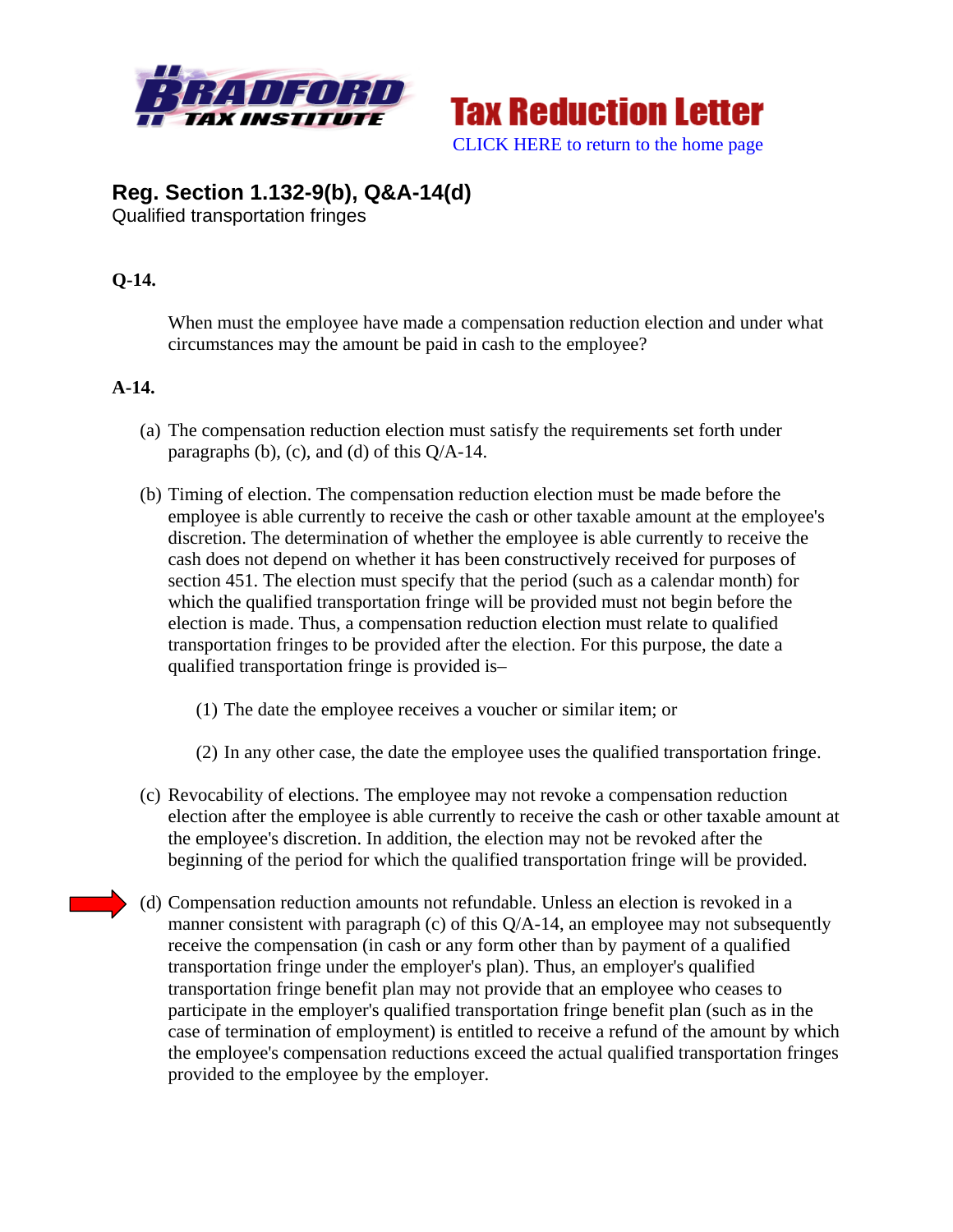



# **Reg. Section 1.132-9(b), Q&A-14(d)**

Qualified transportation fringes

### **Q-14.**

When must the employee have made a compensation reduction election and under what circumstances may the amount be paid in cash to the employee?

## **A-14.**

- (a) The compensation reduction election must satisfy the requirements set forth under paragraphs (b), (c), and (d) of this  $Q/A-14$ .
- (b) Timing of election. The compensation reduction election must be made before the employee is able currently to receive the cash or other taxable amount at the employee's discretion. The determination of whether the employee is able currently to receive the cash does not depend on whether it has been constructively received for purposes of section 451. The election must specify that the period (such as a calendar month) for which the qualified transportation fringe will be provided must not begin before the election is made. Thus, a compensation reduction election must relate to qualified transportation fringes to be provided after the election. For this purpose, the date a qualified transportation fringe is provided is–
	- (1) The date the employee receives a voucher or similar item; or
	- (2) In any other case, the date the employee uses the qualified transportation fringe.
- (c) Revocability of elections. The employee may not revoke a compensation reduction election after the employee is able currently to receive the cash or other taxable amount at the employee's discretion. In addition, the election may not be revoked after the beginning of the period for which the qualified transportation fringe will be provided.
- (d) Compensation reduction amounts not refundable. Unless an election is revoked in a manner consistent with paragraph (c) of this Q/A-14, an employee may not subsequently receive the compensation (in cash or any form other than by payment of a qualified transportation fringe under the employer's plan). Thus, an employer's qualified transportation fringe benefit plan may not provide that an employee who ceases to participate in the employer's qualified transportation fringe benefit plan (such as in the case of termination of employment) is entitled to receive a refund of the amount by which the employee's compensation reductions exceed the actual qualified transportation fringes provided to the employee by the employer.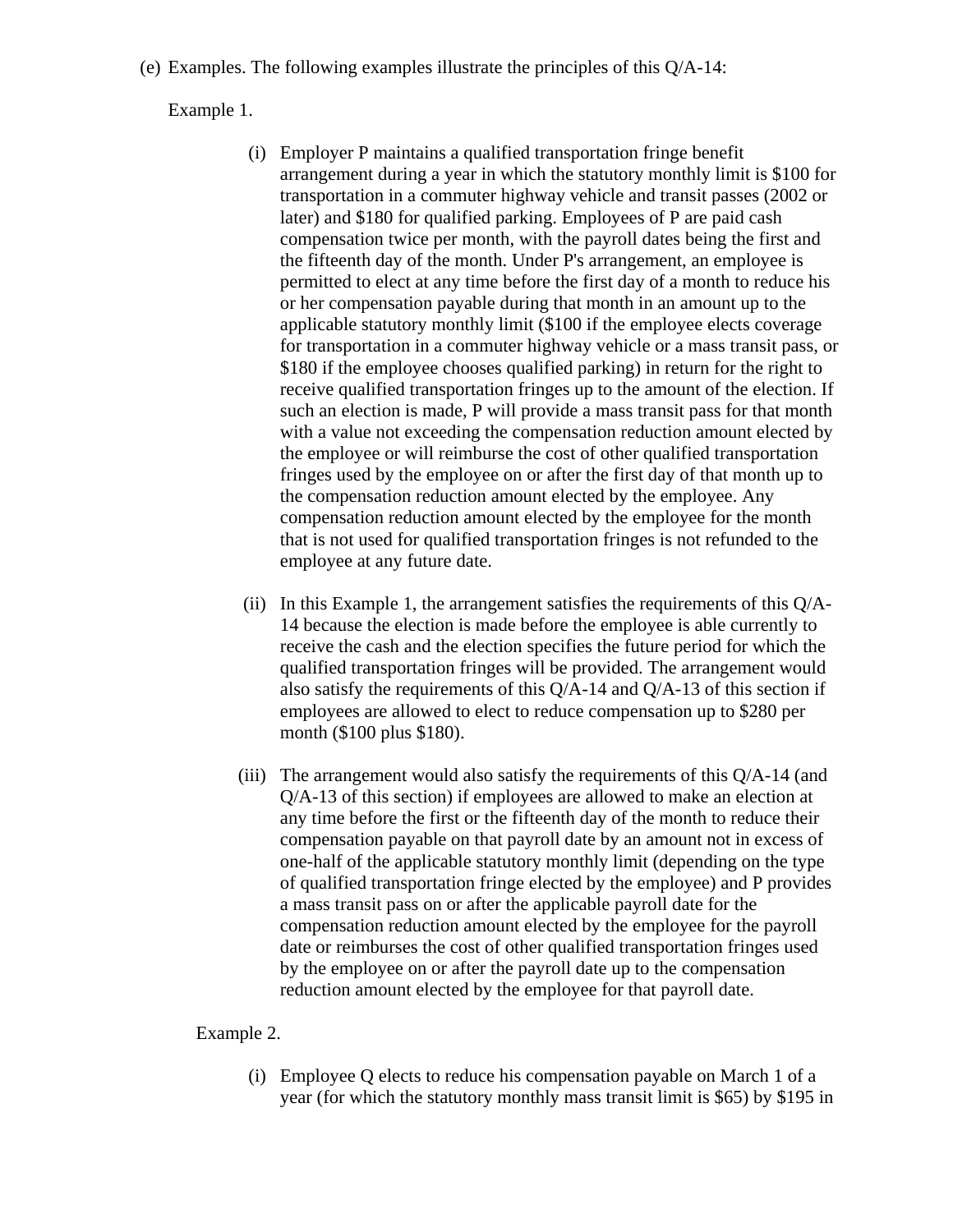(e) Examples. The following examples illustrate the principles of this Q/A-14:

Example 1.

- (i) Employer P maintains a qualified transportation fringe benefit arrangement during a year in which the statutory monthly limit is \$100 for transportation in a commuter highway vehicle and transit passes (2002 or later) and \$180 for qualified parking. Employees of P are paid cash compensation twice per month, with the payroll dates being the first and the fifteenth day of the month. Under P's arrangement, an employee is permitted to elect at any time before the first day of a month to reduce his or her compensation payable during that month in an amount up to the applicable statutory monthly limit (\$100 if the employee elects coverage for transportation in a commuter highway vehicle or a mass transit pass, or \$180 if the employee chooses qualified parking) in return for the right to receive qualified transportation fringes up to the amount of the election. If such an election is made, P will provide a mass transit pass for that month with a value not exceeding the compensation reduction amount elected by the employee or will reimburse the cost of other qualified transportation fringes used by the employee on or after the first day of that month up to the compensation reduction amount elected by the employee. Any compensation reduction amount elected by the employee for the month that is not used for qualified transportation fringes is not refunded to the employee at any future date.
- (ii) In this Example 1, the arrangement satisfies the requirements of this  $Q/A$ -14 because the election is made before the employee is able currently to receive the cash and the election specifies the future period for which the qualified transportation fringes will be provided. The arrangement would also satisfy the requirements of this  $Q/A-14$  and  $Q/A-13$  of this section if employees are allowed to elect to reduce compensation up to \$280 per month (\$100 plus \$180).
- (iii) The arrangement would also satisfy the requirements of this  $Q/A-14$  (and Q/A-13 of this section) if employees are allowed to make an election at any time before the first or the fifteenth day of the month to reduce their compensation payable on that payroll date by an amount not in excess of one-half of the applicable statutory monthly limit (depending on the type of qualified transportation fringe elected by the employee) and P provides a mass transit pass on or after the applicable payroll date for the compensation reduction amount elected by the employee for the payroll date or reimburses the cost of other qualified transportation fringes used by the employee on or after the payroll date up to the compensation reduction amount elected by the employee for that payroll date.

#### Example 2.

(i) Employee Q elects to reduce his compensation payable on March 1 of a year (for which the statutory monthly mass transit limit is \$65) by \$195 in